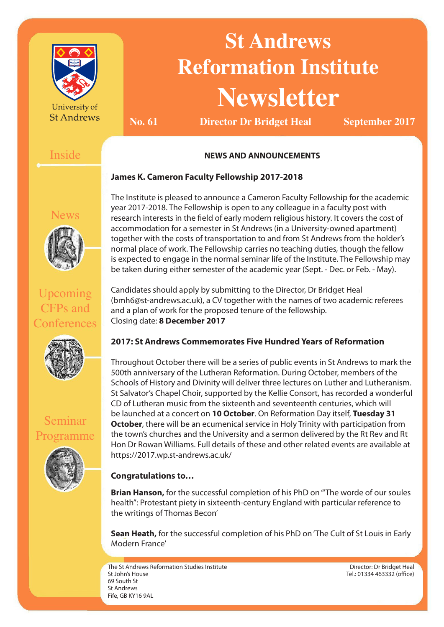

University of **St Andrews** 

# **St Andrews Reformation Institute Newsletter**

**No. 61 Director Dr Bridget Heal September 2017**

# Inside

## **NEWS AND ANNOUNCEMENTS**

### **James K. Cameron Faculty Fellowship 2017-2018**

News



Upcoming CFPs and

**Conferences** 

The Institute is pleased to announce a Cameron Faculty Fellowship for the academic year 2017-2018. The Fellowship is open to any colleague in a faculty post with research interests in the field of early modern religious history. It covers the cost of accommodation for a semester in St Andrews (in a University-owned apartment) together with the costs of transportation to and from St Andrews from the holder's normal place of work. The Fellowship carries no teaching duties, though the fellow is expected to engage in the normal seminar life of the Institute. The Fellowship may be taken during either semester of the academic year (Sept. - Dec. or Feb. - May).

Candidates should apply by submitting to the Director, Dr Bridget Heal (bmh6@st-andrews.ac.uk), a CV together with the names of two academic referees and a plan of work for the proposed tenure of the fellowship. Closing date: **8 December 2017**



## **2017: St Andrews Commemorates Five Hundred Years of Reformation**

Throughout October there will be a series of public events in St Andrews to mark the 500th anniversary of the Lutheran Reformation. During October, members of the Schools of History and Divinity will deliver three lectures on Luther and Lutheranism. St Salvator's Chapel Choir, supported by the Kellie Consort, has recorded a wonderful CD of Lutheran music from the sixteenth and seventeenth centuries, which will be launched at a concert on **10 October**. On Reformation Day itself, **Tuesday 31 October**, there will be an ecumenical service in Holy Trinity with participation from the town's churches and the University and a sermon delivered by the Rt Rev and Rt Hon Dr Rowan Williams. Full details of these and other related events are available at https://2017.wp.st-andrews.ac.uk/

## **Congratulations to…**

**Brian Hanson,** for the successful completion of his PhD on '"The worde of our soules health": Protestant piety in sixteenth-century England with particular reference to the writings of Thomas Becon'

**Sean Heath,** for the successful completion of his PhD on 'The Cult of St Louis in Early Modern France'

The St Andrews Reformation Studies Institute St John's House 69 South St St Andrews Fife, GB KY16 9AL

Director: Dr Bridget Heal Tel.: 01334 463332 (office)

Seminar Programme

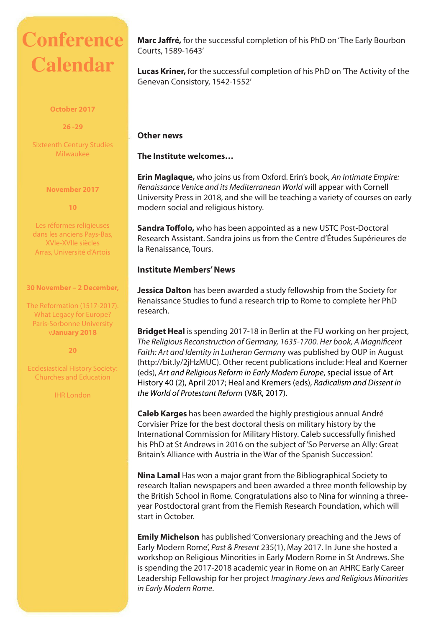# **Conference Calendar**

#### **October 2017**

**26 -29**

Sixteenth Century Studies Milwaukee

**November 2017**

**10**

Les réformes religieuses dans les anciens Pays-Bas, XVIe-XVIIe siècles Arras, Université d'Artois

#### **30 November – 2 December,**

The Reformation (1517-2017). What Legacy for Europe? Paris-Sorbonne University v**January 2018**

**20**

Ecclesiastical History Society: Churches and Education

IHR London

**Marc Jaffré,** for the successful completion of his PhD on 'The Early Bourbon Courts, 1589-1643'

**Lucas Kriner,** for the successful completion of his PhD on 'The Activity of the Genevan Consistory, 1542-1552'

#### **Other news**

**The Institute welcomes…** 

**Erin Maglaque,** who joins us from Oxford. Erin's book, *An Intimate Empire: Renaissance Venice and its Mediterranean World* will appear with Cornell University Press in 2018, and she will be teaching a variety of courses on early modern social and religious history.

**Sandra Toffolo,** who has been appointed as a new USTC Post-Doctoral Research Assistant. Sandra joins us from the Centre d'Études Supérieures de la Renaissance, Tours.

#### **Institute Members' News**

**Jessica Dalton** has been awarded a study fellowship from the Society for Renaissance Studies to fund a research trip to Rome to complete her PhD research.

**Bridget Heal** is spending 2017-18 in Berlin at the FU working on her project, *The Religious Reconstruction of Germany, 1635-1700. Her book, A Magnificent Faith: Art and Identity in Lutheran German*y was published by OUP in August (http://bit.ly/2jHzMUC). Other recent publications include: Heal and Koerner (eds), *Art and Religious Reform in Early Modern Europe*, special issue of Art History 40 (2), April 2017; Heal and Kremers (eds), *Radicalism and Dissent in the World of Protestant Reform* (V&R, 2017).

**Caleb Karges** has been awarded the highly prestigious annual André Corvisier Prize for the best doctoral thesis on military history by the International Commission for Military History. Caleb successfully finished his PhD at St Andrews in 2016 on the subject of 'So Perverse an Ally: Great Britain's Alliance with Austria in the War of the Spanish Succession'.

**Nina Lamal** Has won a major grant from the Bibliographical Society to research Italian newspapers and been awarded a three month fellowship by the British School in Rome. Congratulations also to Nina for winning a threeyear Postdoctoral grant from the Flemish Research Foundation, which will start in October.

**Emily Michelson** has published 'Conversionary preaching and the Jews of Early Modern Rome', *Past & Present* 235(1), May 2017. In June she hosted a workshop on Religious Minorities in Early Modern Rome in St Andrews. She is spending the 2017-2018 academic year in Rome on an AHRC Early Career Leadership Fellowship for her project *Imaginary Jews and Religious Minorities in Early Modern Rome*.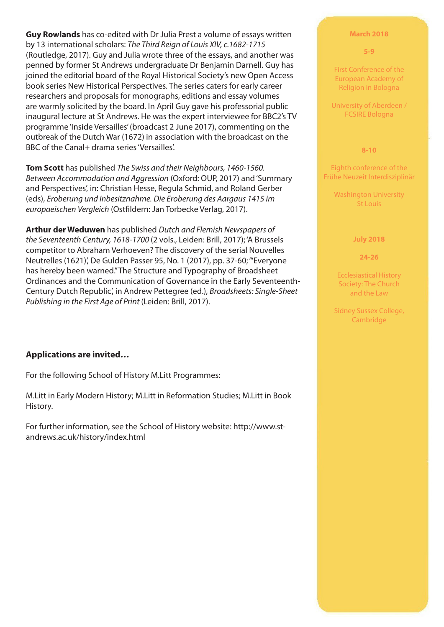**Guy Rowlands** has co-edited with Dr Julia Prest a volume of essays written by 13 international scholars: *The Third Reign of Louis XIV, c.1682-1715* (Routledge, 2017). Guy and Julia wrote three of the essays, and another was penned by former St Andrews undergraduate Dr Benjamin Darnell. Guy has joined the editorial board of the Royal Historical Society's new Open Access book series New Historical Perspectives. The series caters for early career researchers and proposals for monographs, editions and essay volumes are warmly solicited by the board. In April Guy gave his professorial public inaugural lecture at St Andrews. He was the expert interviewee for BBC2's TV programme 'Inside Versailles' (broadcast 2 June 2017), commenting on the outbreak of the Dutch War (1672) in association with the broadcast on the BBC of the Canal+ drama series 'Versailles'.

**Tom Scott** has published *The Swiss and their Neighbours, 1460-1560. Between Accommodation and Aggression* (Oxford: OUP, 2017) and 'Summary and Perspectives', in: Christian Hesse, Regula Schmid, and Roland Gerber (eds), *Eroberung und Inbesitznahme. Die Eroberung des Aargaus 1415 im europaeischen Vergleich* (Ostfildern: Jan Torbecke Verlag, 2017).

**Arthur der Weduwen** has published *Dutch and Flemish Newspapers of the Seventeenth Century, 1618-1700* (2 vols., Leiden: Brill, 2017); 'A Brussels competitor to Abraham Verhoeven? The discovery of the serial Nouvelles Neutrelles (1621)', De Gulden Passer 95, No. 1 (2017), pp. 37-60; '"Everyone has hereby been warned." The Structure and Typography of Broadsheet Ordinances and the Communication of Governance in the Early Seventeenth-Century Dutch Republic', in Andrew Pettegree (ed.), *Broadsheets: Single-Sheet Publishing in the First Age of Print* (Leiden: Brill, 2017).

#### **Applications are invited…**

For the following School of History M.Litt Programmes:

M.Litt in Early Modern History; M.Litt in Reformation Studies; M.Litt in Book History.

For further information, see the School of History website: http://www.standrews.ac.uk/history/index.html

#### **March 2018**

#### **5-9**

First Conference of the European Academy of Religion in Bologna

University of Aberdeen / FCSIRE Bologna

#### **8-10**

Eighth conference of the Frühe Neuzeit Interdisziplinär

Washington University St Louis

#### **July 2018**

**24-26**

Ecclesiastical History Society: The Church and the Law

Sidney Sussex College, Cambridge